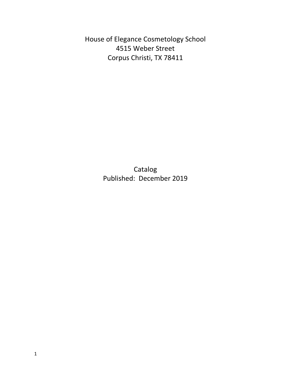House of Elegance Cosmetology School 4515 Weber Street Corpus Christi, TX 78411

> Catalog Published: December 2019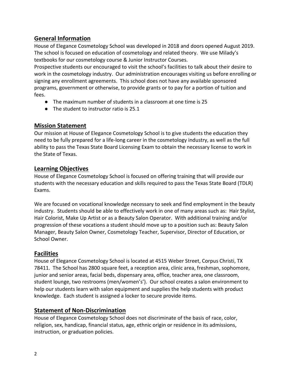# **General Information**

House of Elegance Cosmetology School was developed in 2018 and doors opened August 2019. The school is focused on education of cosmetology and related theory. We use Milady's textbooks for our cosmetology course & Junior Instructor Courses.

Prospective students our encouraged to visit the school's facilities to talk about their desire to work in the cosmetology industry. Our administration encourages visiting us before enrolling or signing any enrollment agreements. This school does not have any available sponsored programs, government or otherwise, to provide grants or to pay for a portion of tuition and fees.

- The maximum number of students in a classroom at one time is 25
- The student to instructor ratio is 25.1

## **Mission Statement**

Our mission at House of Elegance Cosmetology School is to give students the education they need to be fully prepared for a life-long career in the cosmetology industry, as well as the full ability to pass the Texas State Board Licensing Exam to obtain the necessary license to work in the State of Texas.

## **Learning Objectives**

House of Elegance Cosmetology School is focused on offering training that will provide our students with the necessary education and skills required to pass the Texas State Board (TDLR) Exams.

We are focused on vocational knowledge necessary to seek and find employment in the beauty industry. Students should be able to effectively work in one of many areas such as: Hair Stylist, Hair Colorist, Make Up Artist or as a Beauty Salon Operator. With additional training and/or progression of these vocations a student should move up to a position such as: Beauty Salon Manager, Beauty Salon Owner, Cosmetology Teacher, Supervisor, Director of Education, or School Owner.

# **Facilities**

House of Elegance Cosmetology School is located at 4515 Weber Street, Corpus Christi, TX 78411. The School has 2800 square feet, a reception area, clinic area, freshman, sophomore, junior and senior areas, facial beds, dispensary area, office, teacher area, one classroom, student lounge, two restrooms (men/women's'). Our school creates a salon environment to help our students learn with salon equipment and supplies the help students with product knowledge. Each student is assigned a locker to secure provide items.

# **Statement of Non-Discrimination**

House of Elegance Cosmetology School does not discriminate of the basis of race, color, religion, sex, handicap, financial status, age, ethnic origin or residence in its admissions, instruction, or graduation policies.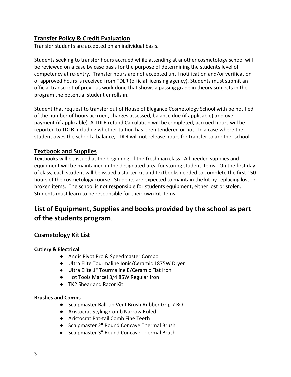# **Transfer Policy & Credit Evaluation**

Transfer students are accepted on an individual basis.

Students seeking to transfer hours accrued while attending at another cosmetology school will be reviewed on a case by case basis for the purpose of determining the students level of competency at re-entry. Transfer hours are not accepted until notification and/or verification of approved hours is received from TDLR (official licensing agency). Students must submit an official transcript of previous work done that shows a passing grade in theory subjects in the program the potential student enrolls in.

Student that request to transfer out of House of Elegance Cosmetology School with be notified of the number of hours accrued, charges assessed, balance due (if applicable) and over payment (if applicable). A TDLR refund Calculation will be completed, accrued hours will be reported to TDLR including whether tuition has been tendered or not. In a case where the student owes the school a balance, TDLR will not release hours for transfer to another school.

## **Textbook and Supplies**

Textbooks will be issued at the beginning of the freshman class. All needed supplies and equipment will be maintained in the designated area for storing student items. On the first day of class, each student will be issued a starter kit and textbooks needed to complete the first 150 hours of the cosmetology course. Students are expected to maintain the kit by replacing lost or broken items. The school is not responsible for students equipment, either lost or stolen. Students must learn to be responsible for their own kit items.

# **List of Equipment, Supplies and books provided by the school as part of the students program**.

## **Cosmetology Kit List**

## **Cutlery & Electrical**

- Andis Pivot Pro & Speedmaster Combo
- Ultra Elite Tourmaline Ionic/Ceramic 1875W Dryer
- Ultra Elite 1" Tourmaline E/Ceramic Flat Iron
- Hot Tools Marcel 3/4 85W Regular Iron
- TK2 Shear and Razor Kit

## **Brushes and Combs**

- Scalpmaster Ball-tip Vent Brush Rubber Grip 7 RO
- Aristocrat Styling Comb Narrow Ruled
- Aristocrat Rat-tail Comb Fine Teeth
- Scalpmaster 2" Round Concave Thermal Brush
- Scalpmaster 3" Round Concave Thermal Brush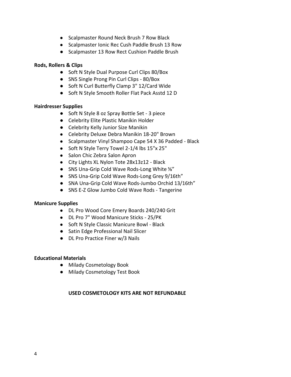- Scalpmaster Round Neck Brush 7 Row Black
- Scalpmaster Ionic Rec Cush Paddle Brush 13 Row
- Scalpmaster 13 Row Rect Cushion Paddle Brush

### **Rods, Rollers & Clips**

- Soft N Style Dual Purpose Curl Clips 80/Box
- SNS Single Prong Pin Curl Clips 80/Box
- Soft N Curl Butterfly Clamp 3" 12/Card Wide
- Soft N Style Smooth Roller Flat Pack Asstd 12 D

### **Hairdresser Supplies**

- Soft N Style 8 oz Spray Bottle Set 3 piece
- Celebrity Elite Plastic Manikin Holder
- Celebrity Kelly Junior Size Manikin
- Celebrity Deluxe Debra Manikin 18-20" Brown
- Scalpmaster Vinyl Shampoo Cape 54 X 36 Padded Black
- Soft N Style Terry Towel 2-1/4 lbs 15"x 25"
- Salon Chic Zebra Salon Apron
- City Lights XL Nylon Tote 28x13z12 Black
- SNS Una-Grip Cold Wave Rods-Long White <sup>5</sup>%"
- SNS Una-Grip Cold Wave Rods-Long Grey 9/16th"
- SNA Una-Grip Cold Wave Rods-Jumbo Orchid 13/16th"
- SNS E-Z Glow Jumbo Cold Wave Rods Tangerine

### **Manicure Supplies**

- DL Pro Wood Core Emery Boards 240/240 Grit
- DL Pro 7" Wood Manicure Sticks 25/PK
- Soft N Style Classic Manicure Bowl Black
- Satin Edge Professional Nail Slicer
- DL Pro Practice Finer w/3 Nails

### **Educational Materials**

- Milady Cosmetology Book
- Milady Cosmetology Test Book

### **USED COSMETOLOGY KITS ARE NOT REFUNDABLE**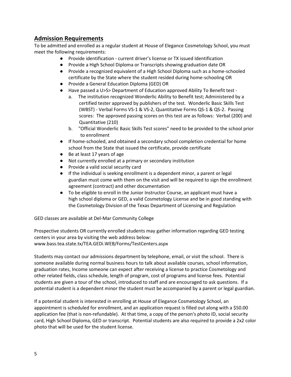## **Admission Requirements**

To be admitted and enrolled as a regular student at House of Elegance Cosmetology School, you must meet the following requirements:

- Provide identification current driver's license or TX issued Identification
- Provide a High School Diploma or Transcripts showing graduation date OR
- Provide a recognized equivalent of a High School Diploma such as a home-schooled certificate by the State where the student resided during home-schooling OR
- Provide a General Education Diploma (GED) OR
- Have passed a U>S> Department of Education approved Ability To Benefit test
	- a. The institution recognized Wonderlic Ability to Benefit test; Administered by a certified tester approved by publishers of the test. Wonderlic Basic Skills Test (WBST) - Verbal Forms VS-1 & VS-2, Quantitative Forms QS-1 & QS-2. Passing scores: The approved passing scores on this test are as follows: Verbal (200) and Quantitative (210)
	- b. "Official Wonderlic Basic Skills Test scores" need to be provided to the school prior to enrollment
- If home-schooled, and obtained a secondary school completion credential for home school from the State that issued the certificate, provide certificate
- Be at least 17 years of age
- Not currently enrolled at a primary or secondary institution
- Provide a valid social security card
- If the individual is seeking enrollment is a dependent minor, a parent or legal guardian must come with them on the visit and will be required to sign the enrollment agreement (contract) and other documentation
- To be eligible to enroll in the Junior Instructor Course, an applicant must have a high school diploma or GED, a valid Cosmetology License and be in good standing with the Cosmetology Division of the Texas Department of Licensing and Regulation

GED classes are available at Del-Mar Community College

Prospective students OR currently enrolled students may gather information regarding GED testing centers in your area by visiting the web address below: www.bass.tea.state.tx/TEA.GEDi.WEB/Forms/TestCenters.aspx

Students may contact our admissions department by telephone, email, or visit the school. There is someone available during normal business hours to talk about available courses, school information, graduation rates, Income someone can expect after receiving a license to practice Cosmetology and other related fields, class schedule, length of program, cost of programs and license fees. Potential students are given a tour of the school, introduced to staff and are encouraged to ask questions. If a potential student is a dependent minor the student must be accompanied by a parent or legal guardian.

If a potential student is interested in enrolling at House of Elegance Cosmetology School, an appointment is scheduled for enrollment, and an application request is filled out along with a \$50.00 application fee (that is non-refundable). At that time, a copy of the person's photo ID, social security card, High School Diploma, GED or transcript. Potential students are also required to provide a 2x2 color photo that will be used for the student license.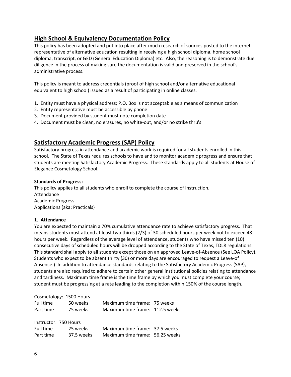# **High School & Equivalency Documentation Policy**

This policy has been adopted and put into place after much research of sources posted to the internet representative of alternative education resulting in receiving a high school diploma, home school diploma, transcript, or GED (General Education Diploma) etc. Also, the reasoning is to demonstrate due diligence in the process of making sure the documentation is valid and preserved in the school's administrative process.

This policy is meant to address credentials (proof of high school and/or alternative educational equivalent to high school) issued as a result of participating in online classes.

- 1. Entity must have a physical address; P.O. Box is not acceptable as a means of communication
- 2. Entity representative must be accessible by phone
- 3. Document provided by student must note completion date
- 4. Document must be clean, no erasures, no white-out, and/or no strike thru's

## **Satisfactory Academic Progress (SAP) Policy**

Satisfactory progress in attendance and academic work is required for all students enrolled in this school. The State of Texas requires schools to have and to monitor academic progress and ensure that students are meeting Satisfactory Academic Progress. These standards apply to all students at House of Elegance Cosmetology School.

#### **Standards of Progress:**

This policy applies to all students who enroll to complete the course of instruction. Attendance Academic Progress Applications (aka: Practicals)

### **1. Attendance**

You are expected to maintain a 70% cumulative attendance rate to achieve satisfactory progress. That means students must attend at least two thirds (2/3) of 30 scheduled hours per week not to exceed 48 hours per week. Regardless of the average level of attendance, students who have missed ten (10) consecutive days of scheduled hours will be dropped according to the State of Texas, TDLR regulations. This standard shall apply to all students except those on an approved Leave-of-Absence (See LOA Policy). Students who expect to be absent thirty (30) or more days are encouraged to request a Leave-of Absence.) In addition to attendance standards relating to the Satisfactory Academic Progress (SAP), students are also required to adhere to certain other general institutional policies relating to attendance and tardiness. Maximum time frame is the time frame by which you must complete your course; student must be progressing at a rate leading to the completion within 150% of the course length.

| Cosmetology: 1500 Hours |            |                                 |  |  |  |  |
|-------------------------|------------|---------------------------------|--|--|--|--|
| Full time               | 50 weeks   | Maximum time frame: 75 weeks    |  |  |  |  |
| Part time               | 75 weeks   | Maximum time frame: 112.5 weeks |  |  |  |  |
| Instructor: 750 Hours   |            |                                 |  |  |  |  |
| Full time               | 25 weeks   | Maximum time frame: 37.5 weeks  |  |  |  |  |
| Part time               | 37.5 weeks | Maximum time frame: 56.25 weeks |  |  |  |  |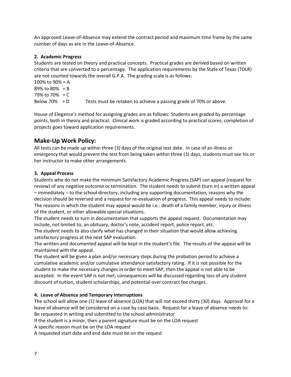An approved Leave-of-Absence may extend the contract period and maximum time frame by the same number of days as are in the Leave-of-Absence.

#### **2. Academic Progress**

Students are tested on theory and practical concepts. Practical grades are derived based on written criteria that are converted to a percentage. The application requirements by the State of Texas (TDLR) are not counted towards the overall G.P.A. The grading scale is as follows:

```
100% to 90% = A89% to 80% = B
79% to 70% = C
Below 70% = D Tests must be retaken to achieve a passing grade of 70% or above.
```
House of Elegance's method for assigning grades are as follows: Students are graded by percentage points, both in theory and practical. Clinical work is graded according to practical scores; completion of projects goes toward application requirements.

## **Make-Up Work Policy:**

All tests can be made up within three (3) days of the original test date. In case of an illness or emergency that would prevent the test from being taken within three (3) days, students must see his or her instructor to make other arrangements.

### **3. Appeal Process**

Students who do not make the minimum Satisfactory Academic Progress (SAP) can appeal (request for review) of any negative outcome or termination. The student needs to submit (turn in) a written appeal – immediately – to the school directory, including any supporting documentation, reasons why the decision should be reversed and a request for re-evaluation of progress. This appeal needs to include: The reasons in which the student may appeal would be i.e.: death of a family member, injury or illness of the student, or other allowable special situations.

The student needs to turn in documentation that supports the appeal request. Documentation may include, not limited to, an obituary, doctor's note, accident report, police report, etc.

The student needs to also clarify what has changed in their situation that would allow achieving satisfactory progress at the next SAP evaluation.

The written and documented appeal will be kept in the student's file. The results of the appeal will be maintained with the appeal.

The student will be given a plan and/or necessary steps during the probation period to achieve a cumulative academic and/or cumulative attendance satisfactory rating. If it is not possible for the student to make the necessary changes in order to meet SAP, then the appeal is not able to be accepted. In the event SAP is not met, consequences will be discussed regarding loss of any student discount of tuition, student scholarships, and potential over contract fee charges.

### **4. Leave of Absence and Temporary Interruptions**

The school will allow one (1) leave of absence (LOA) that will not exceed thirty (30) days. Approval for a leave of absence will be considered on a case by case basis. Request for a leave of absence needs to: Be requested in writing and submitted to the school administrator

If the student is a minor, then a parent signature must be on the LOA request

A specific reason must be on the LOA request

A requested start date and end date must be on the request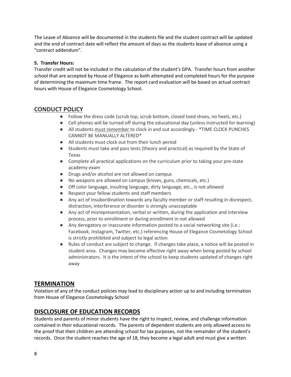The Leave of Absence will be documented in the students file and the student contract will be updated and the end of contract date will reflect the amount of days as the students leave of absence using a "contract addendum".

### **5. Transfer Hours:**

Transfer credit will not be included in the calculation of the student's GPA. Transfer hours from another school that are accepted by House of Elegance as both attempted and completed hours for the purpose of determining the maximum time frame. The report card evaluation will be based on actual contract hours with House of Elegance Cosmetology School.

# **CONDUCT POLICY**

- Follow the dress code (scrub top, scrub bottom, closed toed shoes, no heels, etc.)
- Cell phones will be turned off during the educational day (unless instructed for learning)
- All students must remember to clock in and out accordingly \*TIME CLOCK PUNCHES CANNOT BE MANUALLY ALTERED\*
- All students must clock out from their lunch period
- Students must take and pass tests (theory and practical) as required by the State of Texas
- Complete all practical applications on the curriculum prior to taking your pre-state academy exam
- Drugs and/or alcohol are not allowed on campus
- No weapons are allowed on campus (knives, guns, chemicals, etc.)
- Off color language, insulting language, dirty language, etc., is not allowed
- Respect your fellow students and staff members
- Any act of insubordination towards any faculty member or staff resulting in disrespect, distraction, interference or disorder is strongly unacceptable
- Any act of misrepresentation, verbal or written, during the application and interview process, prior to enrollment or during enrollment in not allowed
- Any derogatory or inaccurate information posted to a social networking site (i.e.: Facebook, Instagram, Twitter, etc.) referencing House of Elegance Cosmetology School is strictly prohibited and subject to legal action
- Rules of conduct are subject to change. If changes take place, a notice will be posted in student area. Changes may become effective right away when being posted by school administrators. It is the intent of the school to keep students updated of changes right away

# **TERMINATION**

Violation of any of the conduct policies may lead to disciplinary action up to and including termination from House of Elegance Cosmetology School

# **DISCLOSURE OF EDUCATION RECORDS**

Students and parents of minor students have the right to inspect, review, and challenge information contained in their educational records. The parents of dependent students are only allowed access to the proof that their children are attending school for tax purposes, not the remainder of the student's records. Once the student reaches the age of 18, they become a legal adult and must give a written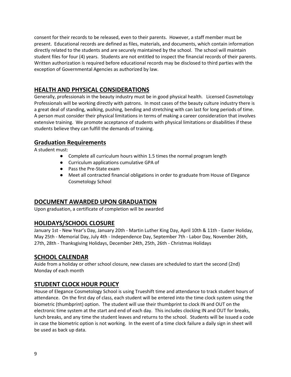consent for their records to be released, even to their parents. However, a staff member must be present. Educational records are defined as files, materials, and documents, which contain information directly related to the students and are securely maintained by the school. The school will maintain student files for four (4) years. Students are not entitled to inspect the financial records of their parents. Written authorization is required before educational records may be disclosed to third parties with the exception of Governmental Agencies as authorized by law.

# **HEALTH AND PHYSICAL CONSIDERATIONS**

Generally, professionals in the beauty industry must be in good physical health. Licensed Cosmetology Professionals will be working directly with patrons. In most cases of the beauty culture industry there is a great deal of standing, walking, pushing, bending and stretching with can last for long periods of time. A person must consider their physical limitations in terms of making a career consideration that involves extensive training. We promote acceptance of students with physical limitations or disabilities if these students believe they can fulfill the demands of training.

# **Graduation Requirements**

A student must:

- Complete all curriculum hours within 1.5 times the normal program length
- Curriculum applications cumulative GPA of
- Pass the Pre-State exam
- Meet all contracted financial obligations in order to graduate from House of Elegance Cosmetology School

# **DOCUMENT AWARDED UPON GRADUATION**

Upon graduation, a certificate of completion will be awarded

# **HOLIDAYS/SCHOOL CLOSURE**

January 1st - New Year's Day, January 20th - Martin Luther King Day, April 10th & 11th - Easter Holiday, May 25th - Memorial Day, July 4th - Independence Day, September 7th - Labor Day, November 26th, 27th, 28th - Thanksgiving Holidays, December 24th, 25th, 26th - Christmas Holidays

## **SCHOOL CALENDAR**

Aside from a holiday or other school closure, new classes are scheduled to start the second (2nd) Monday of each month

# **STUDENT CLOCK HOUR POLICY**

House of Elegance Cosmetology School is using Trueshift time and attendance to track student hours of attendance. On the first day of class, each student will be entered into the time clock system using the biometric (thumbprint) option. The student will use their thumbprint to clock IN and OUT on the electronic time system at the start and end of each day. This includes clocking IN and OUT for breaks, lunch breaks, and any time the student leaves and returns to the school. Students will be issued a code in case the biometric option is not working. In the event of a time clock failure a daily sign in sheet will be used as back up data.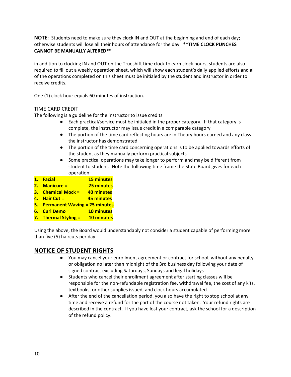**NOTE**: Students need to make sure they clock IN and OUT at the beginning and end of each day; otherwise students will lose all their hours of attendance for the day. **\*\*TIME CLOCK PUNCHES CANNOT BE MANUALLY ALTERED\*\***

in addition to clocking IN and OUT on the Trueshift time clock to earn clock hours, students are also required to fill out a weekly operation sheet, which will show each student's daily applied efforts and all of the operations completed on this sheet must be initialed by the student and instructor in order to receive credits.

One (1) clock hour equals 60 minutes of instruction.

### TIME CARD CREDIT

The following is a guideline for the instructor to issue credits

- Each practical/service must be initialed in the proper category. If that category is complete, the instructor may issue credit in a comparable category
- The portion of the time card reflecting hours are in Theory hours earned and any class the instructor has demonstrated
- The portion of the time card concerning operations is to be applied towards efforts of the student as they manually perform practical subjects
- Some practical operations may take longer to perform and may be different from student to student. Note the following time frame the State Board gives for each operation:
- **1. Facial = 15 minutes**
- **2. Manicure = 25 minutes**
- **3. Chemical Mock = 40 minutes**
- **4. Hair Cut = 45 minutes**
- **5. Permanent Waving = 25 minutes**
- **6. Curl Demo = 10 minutes**
- **7. Thermal Styling = 10 minutes**

Using the above, the Board would understandably not consider a student capable of performing more than five (5) haircuts per day

## **NOTICE OF STUDENT RIGHTS**

- You may cancel your enrollment agreement or contract for school, without any penalty or obligation no later than midnight of the 3rd business day following your date of signed contract excluding Saturdays, Sundays and legal holidays
- Students who cancel their enrollment agreement after starting classes will be responsible for the non-refundable registration fee, withdrawal fee, the cost of any kits, textbooks, or other supplies issued, and clock hours accumulated
- After the end of the cancellation period, you also have the right to stop school at any time and receive a refund for the part of the course not taken. Your refund rights are described in the contract. If you have lost your contract, ask the school for a description of the refund policy.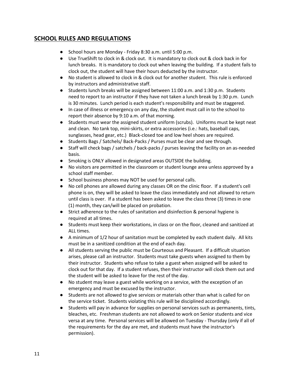# **SCHOOL RULES AND REGULATIONS**

- School hours are Monday Friday 8:30 a.m. until 5:00 p.m.
- Use TrueShift to clock in & clock out. It is mandatory to clock out & clock back in for lunch breaks. It is mandatory to clock out when leaving the building. If a student fails to clock out, the student will have their hours deducted by the instructor.
- No student is allowed to clock in & clock out for another student. This rule is enforced by instructors and administrative staff.
- Students lunch breaks will be assigned between 11:00 a.m. and 1:30 p.m. Students need to report to an instructor if they have not taken a lunch break by 1:30 p.m. Lunch is 30 minutes. Lunch period is each student's responsibility and must be staggered.
- In case of illness or emergency on any day, the student must call in to the school to report their absence by 9:10 a.m. of that morning.
- Students must wear the assigned student uniform (scrubs). Uniforms must be kept neat and clean. No tank top, mini-skirts, or extra accessories (i.e.: hats, baseball caps, sunglasses, head gear, etc.) Black-closed toe and low heel shoes are required.
- Students Bags / Satchels/ Back-Packs / Purses must be clear and see through.
- Staff will check bags / satchels / back-packs / purses leaving the facility on an as-needed basis.
- Smoking is ONLY allowed in designated areas OUTSIDE the building.
- No visitors are permitted in the classroom or student lounge area unless approved by a school staff member.
- School business phones may NOT be used for personal calls.
- No cell phones are allowed during any classes OR on the clinic floor. If a student's cell phone is on, they will be asked to leave the class immediately and not allowed to return until class is over. If a student has been asked to leave the class three (3) times in one (1) month, they can/will be placed on probation.
- Strict adherence to the rules of sanitation and disinfection & personal hygiene is required at all times.
- Students must keep their workstations, in class or on the floor, cleaned and sanitized at ALL times.
- A minimum of 1/2 hour of sanitation must be completed by each student daily. All kits must be in a sanitized condition at the end of each day.
- All students serving the public must be Courteous and Pleasant. If a difficult situation arises, please call an instructor. Students must take guests when assigned to them by their instructor. Students who refuse to take a guest when assigned will be asked to clock out for that day. If a student refuses, then their instructor will clock them out and the student will be asked to leave for the rest of the day.
- No student may leave a guest while working on a service, with the exception of an emergency and must be excused by the instructor.
- Students are not allowed to give services or materials other than what is called for on the service ticket. Students violating this rule will be disciplined accordingly.
- Students will pay in advance for supplies on personal services such as permanents, tints, bleaches, etc. Freshman students are not allowed to work on Senior students and vice versa at any time. Personal services will be allowed on Tuesday - Thursday (only if all of the requirements for the day are met, and students must have the instructor's permission).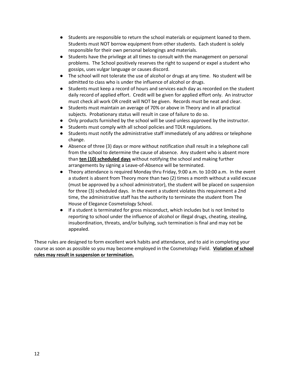- Students are responsible to return the school materials or equipment loaned to them. Students must NOT borrow equipment from other students. Each student is solely responsible for their own personal belongings and materials.
- Students have the privilege at all times to consult with the management on personal problems. The School positively reserves the right to suspend or expel a student who gossips, uses vulgar language or causes discord.
- The school will not tolerate the use of alcohol or drugs at any time. No student will be admitted to class who is under the influence of alcohol or drugs.
- Students must keep a record of hours and services each day as recorded on the student daily record of applied effort. Credit will be given for applied effort only. An instructor must check all work OR credit will NOT be given. Records must be neat and clear.
- Students must maintain an average of 70% or above in Theory and in all practical subjects. Probationary status will result in case of failure to do so.
- Only products furnished by the school will be used unless approved by the instructor.
- Students must comply with all school policies and TDLR regulations.
- Students must notify the administrative staff immediately of any address or telephone change.
- Absence of three (3) days or more without notification shall result in a telephone call from the school to determine the cause of absence. Any student who is absent more than **ten (10) scheduled days** without notifying the school and making further arrangements by signing a Leave-of-Absence will be terminated.
- Theory attendance is required Monday thru Friday, 9:00 a.m. to 10:00 a.m. In the event a student is absent from Theory more than two (2) times a month without a valid excuse (must be approved by a school administrator), the student will be placed on suspension for three (3) scheduled days. In the event a student violates this requirement a 2nd time, the administrative staff has the authority to terminate the student from The House of Elegance Cosmetology School.
- If a student is terminated for gross misconduct, which includes but is not limited to reporting to school under the influence of alcohol or illegal drugs, cheating, stealing, insubordination, threats, and/or bullying, such termination is final and may not be appealed.

These rules are designed to form excellent work habits and attendance, and to aid in completing your course as soon as possible so you may become employed in the Cosmetology Field. **Violation of school rules may result in suspension or termination.**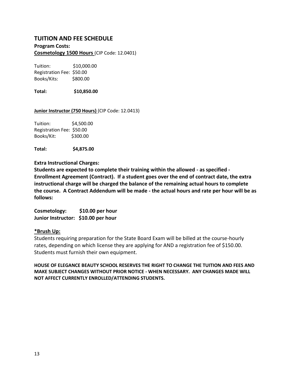## **TUITION AND FEE SCHEDULE**

#### **Program Costs: Cosmetology 1500 Hours** (CIP Code: 12.0401)

Tuition: \$10,000.00 Registration Fee: \$50.00 Books/Kits: \$800.00

**Total: \$10,850.00**

#### **Junior Instructor (750 Hours)** (CIP Code: 12.0413)

Tuition: \$4,500.00 Registration Fee: \$50.00 Books/Kit: \$300.00

**Total: \$4,875.00**

### **Extra Instructional Charges:**

**Students are expected to complete their training within the allowed - as specified - Enrollment Agreement (Contract). If a student goes over the end of contract date, the extra instructional charge will be charged the balance of the remaining actual hours to complete the course. A Contract Addendum will be made - the actual hours and rate per hour will be as follows:**

**Cosmetology: \$10.00 per hour Junior Instructor: \$10.00 per hour**

### **\*Brush Up:**

Students requiring preparation for the State Board Exam will be billed at the course-hourly rates, depending on which license they are applying for AND a registration fee of \$150.00. Students must furnish their own equipment.

**HOUSE OF ELEGANCE BEAUTY SCHOOL RESERVES THE RIGHT TO CHANGE THE TUITION AND FEES AND MAKE SUBJECT CHANGES WITHOUT PRIOR NOTICE - WHEN NECESSARY. ANY CHANGES MADE WILL NOT AFFECT CURRENTLY ENROLLED/ATTENDING STUDENTS.**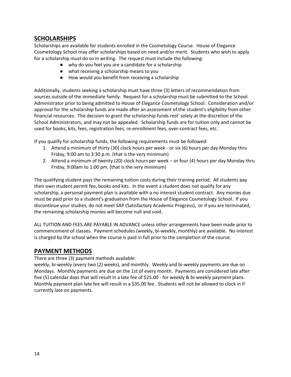## **SCHOLARSHIPS**

Scholarships are available for students enrolled in the Cosmetology Course. House of Elegance Cosmetology School may offer scholarships based on need and/or merit. Students who wish to apply for a scholarship must do so in writing. The request must include the following:

- why do you feel you are a candidate for a scholarship
- what receiving a scholarship means to you
- How would you benefit from receiving a scholarship

Additionally, students seeking a scholarship must have three (3) letters of recommendation from sources outside of the immediate family. Request for a scholarship must be submitted to the School Administrator prior to being admitted to House of Elegance Cosmetology School. Consideration and/or approval for the scholarship funds are made after an assessment of the student's eligibility from other financial resources. The decision to grant the scholarship funds rest' solely at the discretion of the School Administrators, and may not be appealed. Scholarship funds are for tuition only and cannot be used for books, kits, fees, registration fees, re-enrollment fees, over-contract fees, etc.

If you qualify for scholarship funds, the following requirements must be followed:

- 1. Attend a minimum of thirty (30) clock hours per week or six (6) hours per day Monday thru Friday, 9:00 am to 3:30 p.m. (that is the very minimum)
- 2. Attend a minimum of twenty (20) clock hours per week or four (4) hours per day Monday thru Friday, 9:00am to 1:00 pm. (that is the very minimum)

The qualifying student pays the remaining tuition costs during their training period. All students pay their own student permit fee, books and kits. In the event a student does not qualify for any scholarship, a personal payment plan is available with a no interest student contract. Any monies due must be paid prior to a student's graduation from the House of Elegance Cosmetology School. If you discontinue your studies, do not meet SAP (Satisfactory Academic Progress), or if you are terminated, the remaining scholarship monies will become null and void.

ALL TUITION AND FEES ARE PAYABLE IN ADVANCE unless other arrangements have been made prior to commencement of classes. Payment schedules (weekly, bi-weekly, monthly) are available. No interest is charged by the school when the course is paid in full prior to the completion of the course.

## **PAYMENT METHODS**

There are three (3) payment methods available:

weekly, bi-weekly (every two (2) weeks), and monthly. Weekly and bi-weekly payments are due on Mondays. Monthly payments are due on the 1st of every month. Payments are considered late after five (5) calendar days that will result in a late fee of \$25.00 - for weekly & bi-weekly payment plans. Monthly payment plan late fee will result in a \$35.00 fee. Students will not be allowed to clock in if currently late on payments.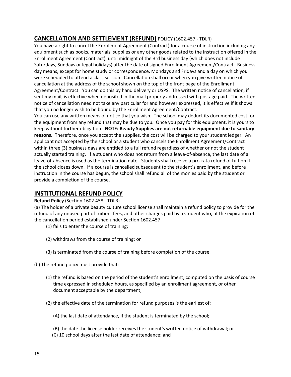# **CANCELLATION AND SETTLEMENT (REFUND)** POLICY (1602.457 - TDLR)

You have a right to cancel the Enrollment Agreement (Contract) for a course of instruction including any equipment such as books, materials, supplies or any other goods related to the instruction offered in the Enrollment Agreement (Contract), until midnight of the 3rd business day (which does not include Saturdays, Sundays or legal holidays) after the date of signed Enrollment Agreement/Contract. Business day means, except for home study or correspondence, Mondays and Fridays and a day on which you were scheduled to attend a class session. Cancellation shall occur when you give written notice of cancellation at the address of the school shown on the top of the front page of the Enrollment Agreement/Contract. You can do this by hand delivery or USPS. The written notice of cancellation, if sent my mail, is effective when deposited in the mail properly addressed with postage paid. The written notice of cancellation need not take any particular for and however expressed, it is effective if it shows that you no longer wish to be bound by the Enrollment Agreement/Contract.

You can use any written means of notice that you wish. The school may deduct its documented cost for the equipment from any refund that may be due to you. Once you pay for this equipment, it is yours to keep without further obligation. **NOTE: Beauty Supplies are not returnable equipment due to sanitary reasons.** Therefore, once you accept the supplies, the cost will be charged to your student ledger. An applicant not accepted by the school or a student who cancels the Enrollment Agreement/Contract within three (3) business days are entitled to a full refund regardless of whether or not the student actually started training. If a student who does not return from a leave-of-absence, the last date of a leave-of-absence is used as the termination date. Students shall receive a pro-rata refund of tuition if the school closes down. If a course is cancelled subsequent to the student's enrollment, and before instruction in the course has begun, the school shall refund all of the monies paid by the student or provide a completion of the course.

# **INSTITUTIONAL REFUND POLICY**

### **Refund Policy** (Section 1602.458 - TDLR)

(a) The holder of a private beauty culture school license shall maintain a refund policy to provide for the refund of any unused part of tuition, fees, and other charges paid by a student who, at the expiration of the cancellation period established under Section 1602.457:

(1) fails to enter the course of training;

- (2) withdraws from the course of training; or
- (3) is terminated from the course of training before completion of the course.

(b) The refund policy must provide that:

- (1) the refund is based on the period of the student's enrollment, computed on the basis of course time expressed in scheduled hours, as specified by an enrollment agreement, or other document acceptable by the department;
- (2) the effective date of the termination for refund purposes is the earliest of:
	- (A) the last date of attendance, if the student is terminated by the school;
	- (B) the date the license holder receives the student's written notice of withdrawal; or
	- (C) 10 school days after the last date of attendance; and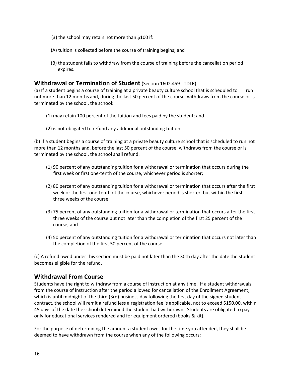- (3) the school may retain not more than \$100 if:
- (A) tuition is collected before the course of training begins; and
- (B) the student fails to withdraw from the course of training before the cancellation period expires.

## **Withdrawal or Termination of Student** (Section 1602.459 - TDLR)

(a) If a student begins a course of training at a private beauty culture school that is scheduled to run not more than 12 months and, during the last 50 percent of the course, withdraws from the course or is terminated by the school, the school:

- (1) may retain 100 percent of the tuition and fees paid by the student; and
- (2) is not obligated to refund any additional outstanding tuition.

(b) If a student begins a course of training at a private beauty culture school that is scheduled to run not more than 12 months and, before the last 50 percent of the course, withdraws from the course or is terminated by the school, the school shall refund:

- (1) 90 percent of any outstanding tuition for a withdrawal or termination that occurs during the first week or first one-tenth of the course, whichever period is shorter;
- (2) 80 percent of any outstanding tuition for a withdrawal or termination that occurs after the first week or the first one-tenth of the course, whichever period is shorter, but within the first three weeks of the course
- (3) 75 percent of any outstanding tuition for a withdrawal or termination that occurs after the first three weeks of the course but not later than the completion of the first 25 percent of the course; and
- (4) 50 percent of any outstanding tuition for a withdrawal or termination that occurs not later than the completion of the first 50 percent of the course.

(c) A refund owed under this section must be paid not later than the 30th day after the date the student becomes eligible for the refund.

## **Withdrawal From Course**

Students have the right to withdraw from a course of instruction at any time. If a student withdrawals from the course of instruction after the period allowed for cancellation of the Enrollment Agreement, which is until midnight of the third (3rd) business day following the first day of the signed student contract, the school will remit a refund less a registration fee is applicable, not to exceed \$150.00, within 45 days of the date the school determined the student had withdrawn. Students are obligated to pay only for educational services rendered and for equipment ordered (books & kit).

For the purpose of determining the amount a student owes for the time you attended, they shall be deemed to have withdrawn from the course when any of the following occurs: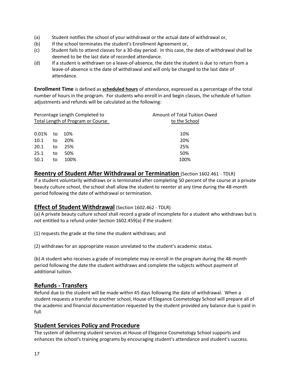- (a) Student notifies the school of your withdrawal or the actual date of withdrawal or,
- (b) If the school terminates the student's Enrollment Agreement or,
- (c) Student fails to attend classes for a 30-day period. In this case, the date of withdrawal shall be deemed to be the last date of recorded attendance.
- (d) If a student is withdrawn on a leave-of-absence, the date the student is due to return from a leave-of-absence is the date of withdrawal and will only be charged to the last date of attendance.

**Enrollment Time** is defined as **scheduled hours** of attendance, expressed as a percentage of the total number of hours in the program. For students who enroll in and begin classes, the schedule of tuition adjustments and refunds will be calculated as the following:

| Percentage Length Completed to<br>Total Length of Program or Course |    |      | Amount of Total Tuition Owed<br>to the School |  |
|---------------------------------------------------------------------|----|------|-----------------------------------------------|--|
|                                                                     |    |      |                                               |  |
| 0.01%                                                               | to | 10%  | 10%                                           |  |
| 10.1                                                                | to | 20%  | 20%                                           |  |
| 20.1                                                                | to | 25%  | 25%                                           |  |
| 25.1                                                                | to | 50%  | 50%                                           |  |
| 50.1                                                                | to | 100% | 100%                                          |  |

**Reentry of Student After Withdrawal or Termination** (Section 1602.461 - TDLR) If a student voluntarily withdraws or is terminated after completing 50 percent of the course at a private beauty culture school, the school shall allow the student to reenter at any time during the 48-month period following the date of withdrawal or termination.

## **Effect of Student Withdrawal** (Section 1602.462 - TDLR)

(a) A private beauty culture school shall record a grade of incomplete for a student who withdraws but is not entitled to a refund under Section 1602.459(a) if the student:

(1) requests the grade at the time the student withdraws; and

(2) withdraws for an appropriate reason unrelated to the student's academic status.

(b) A student who receives a grade of incomplete may re-enroll in the program during the 48-month period following the date the student withdraws and complete the subjects without payment of additional tuition.

## **Refunds - Transfers**

Refund due to the student will be made within 45 days following the date of withdrawal. When a student requests a transfer to another school, House of Elegance Cosmetology School will prepare all of the academic and financial documentation requested by the student provided any balance due is paid in full.

## **Student Services Policy and Procedure**

The system of delivering student services at House of Elegance Cosmetology School supports and enhances the school's training programs by encouraging student's attendance and student's success.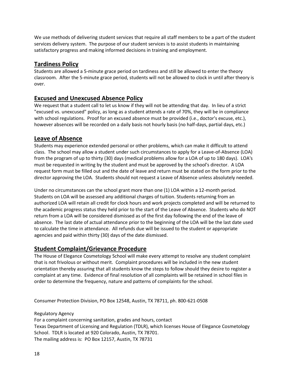We use methods of delivering student services that require all staff members to be a part of the student services delivery system. The purpose of our student services is to assist students in maintaining satisfactory progress and making informed decisions in training and employment.

## **Tardiness Policy**

Students are allowed a 5-minute grace period on tardiness and still be allowed to enter the theory classroom. After the 5-minute grace period, students will not be allowed to clock in until after theory is over.

# **Excused and Unexcused Absence Policy**

We request that a student call to let us know if they will not be attending that day. In lieu of a strict "excused vs. unexcused" policy, as long as a student attends a rate of 70%, they will be in compliance with school regulations. Proof for an excused absence must be provided (i.e., doctor's excuse, etc.), however absences will be recorded on a daily basis not hourly basis (no half-days, partial days, etc.)

## **Leave of Absence**

Students may experience extended personal or other problems, which can make it difficult to attend class. The school may allow a student under such circumstances to apply for a Leave-of-Absence (LOA) from the program of up to thirty (30) days (medical problems allow for a LOA of up to 180 days). LOA's must be requested in writing by the student and must be approved by the school's director. A LOA request form must be filled out and the date of leave and return must be stated on the form prior to the director approving the LOA. Students should not request a Leave of Absence unless absolutely needed.

Under no circumstances can the school grant more than one (1) LOA within a 12-month period. Students on LOA will be assessed any additional charges of tuition. Students returning from an authorized LOA will retain all credit for clock hours and work projects completed and will be returned to the academic progress status they held prior to the start of the Leave of Absence. Students who do NOT return from a LOA will be considered dismissed as of the first day following the end of the leave of absence. The last date of actual attendance prior to the beginning of the LOA will be the last date used to calculate the time in attendance. All refunds due will be issued to the student or appropriate agencies and paid within thirty (30) days of the date dismissed.

# **Student Complaint/Grievance Procedure**

The House of Elegance Cosmetology School will make every attempt to resolve any student complaint that is not frivolous or without merit. Complaint procedures will be included in the new student orientation thereby assuring that all students know the steps to follow should they desire to register a complaint at any time. Evidence of final resolution of all complaints will be retained in school files in order to determine the frequency, nature and patterns of complaints for the school.

Consumer Protection Division, PO Box 12548, Austin, TX 78711, ph. 800-621-0508

Regulatory Agency

For a complaint concerning sanitation, grades and hours, contact Texas Department of Licensing and Regulation (TDLR), which licenses House of Elegance Cosmetology School. TDLR is located at 920 Colorado, Austin, TX 78701. The mailing address is: PO Box 12157, Austin, TX 78731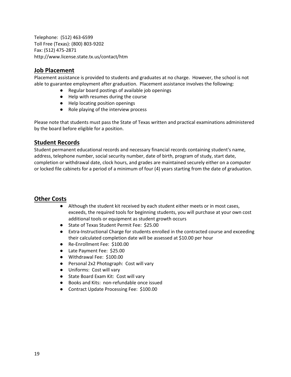Telephone: (512) 463-6599 Toll Free (Texas): (800) 803-9202 Fax: (512) 475-2871 http://www.license.state.tx.us/contact/htm

## **Job Placement**

Placement assistance is provided to students and graduates at no charge. However, the school is not able to guarantee employment after graduation. Placement assistance involves the following:

- Regular board postings of available job openings
- Help with resumes during the course
- Help locating position openings
- Role playing of the interview process

Please note that students must pass the State of Texas written and practical examinations administered by the board before eligible for a position.

## **Student Records**

Student permanent educational records and necessary financial records containing student's name, address, telephone number, social security number, date of birth, program of study, start date, completion or withdrawal date, clock hours, and grades are maintained securely either on a computer or locked file cabinets for a period of a minimum of four (4) years starting from the date of graduation.

# **Other Costs**

- Although the student kit received by each student either meets or in most cases, exceeds, the required tools for beginning students, you will purchase at your own cost additional tools or equipment as student growth occurs
- State of Texas Student Permit Fee: \$25.00
- Extra-Instructional Charge for students enrolled in the contracted course and exceeding their calculated completion date will be assessed at \$10.00 per hour
- Re-Enrollment Fee: \$100.00
- Late Payment Fee: \$25.00
- Withdrawal Fee: \$100.00
- Personal 2x2 Photograph: Cost will vary
- Uniforms: Cost will vary
- State Board Exam Kit: Cost will vary
- Books and Kits: non-refundable once issued
- Contract Update Processing Fee: \$100.00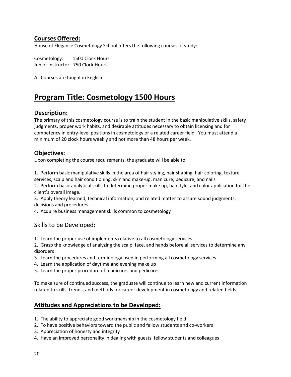# **Courses Offered:**

House of Elegance Cosmetology School offers the following courses of study:

Cosmetology: 1500 Clock Hours Junior Instructor: 750 Clock Hours

All Courses are taught in English

# **Program Title: Cosmetology 1500 Hours**

## **Description:**

The primary of this cosmetology course is to train the student in the basic manipulative skills, safety judgments, proper work habits, and desirable attitudes necessary to obtain licensing and for competency in entry-level positions in cosmetology or a related career field. You must attend a minimum of 20 clock hours weekly and not more than 48 hours per week.

## **Objectives:**

Upon completing the course requirements, the graduate will be able to:

1. Perform basic manipulative skills in the area of hair styling, hair shaping, hair coloring, texture services, scalp and hair conditioning, skin and make-up, manicure, pedicure, and nails

2. Perform basic analytical skills to determine proper make up, hairstyle, and color application for the client's overall image.

3. Apply theory learned, technical information, and related matter to assure sound judgments, decisions and procedures.

4. Acquire business management skills common to cosmetology

## Skills to be Developed:

1. Learn the proper use of implements relative to all cosmetology services

2. Grasp the knowledge of analyzing the scalp, face, and hands before all services to determine any disorders

- 3. Learn the procedures and terminology used in performing all cosmetology services
- 4. Learn the application of daytime and evening make up
- 5. Learn the proper procedure of manicures and pedicures

To make sure of continued success, the graduate will continue to learn new and current information related to skills, trends, and methods for career development in cosmetology and related fields.

# **Attitudes and Appreciations to be Developed:**

- 1. The ability to appreciate good workmanship in the cosmetology field
- 2. To have positive behaviors toward the public and fellow students and co-workers
- 3. Appreciation of honesty and integrity
- 4. Have an improved personality in dealing with guests, fellow students and colleagues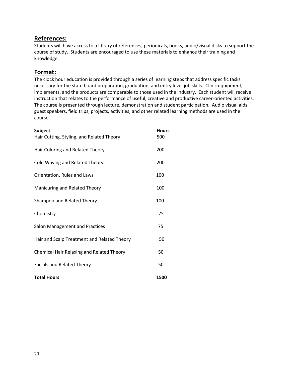## **References:**

Students will have access to a library of references, periodicals, books, audio/visual disks to support the course of study. Students are encouraged to use these materials to enhance their training and knowledge.

## **Format:**

The clock hour education is provided through a series of learning steps that address specific tasks necessary for the state board preparation, graduation, and entry level job skills. Clinic equipment, implements, and the products are comparable to those used in the industry. Each student will receive instruction that relates to the performance of useful, creative and productive career-oriented activities. The course is presented through lecture, demonstration and student participation. Audio visual aids, guest speakers, field trips, projects, activities, and other related learning methods are used in the course.

| <b>Subject</b>                                   |      |
|--------------------------------------------------|------|
| Hair Cutting, Styling, and Related Theory        | 500  |
| Hair Coloring and Related Theory                 | 200  |
| Cold Waving and Related Theory                   | 200  |
| Orientation, Rules and Laws                      | 100  |
| Manicuring and Related Theory                    | 100  |
| Shampoo and Related Theory                       | 100  |
| Chemistry                                        | 75   |
| Salon Management and Practices                   | 75   |
| Hair and Scalp Treatment and Related Theory      | 50   |
| <b>Chemical Hair Relaxing and Related Theory</b> | 50   |
| Facials and Related Theory                       | 50   |
| <b>Total Hours</b>                               | 1500 |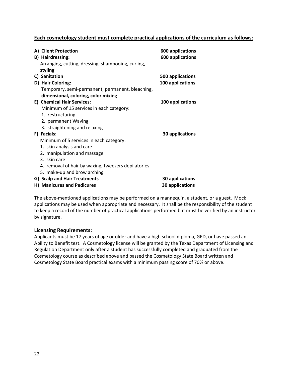### **Each cosmetology student must complete practical applications of the curriculum as follows:**

| A) Client Protection<br>B) Hairdressing:<br>Arranging, cutting, dressing, shampooing, curling, | <b>600 applications</b><br><b>600 applications</b> |
|------------------------------------------------------------------------------------------------|----------------------------------------------------|
| styling                                                                                        |                                                    |
| C) Sanitation                                                                                  | 500 applications                                   |
| D) Hair Coloring:                                                                              | 100 applications                                   |
| Temporary, semi-permanent, permanent, bleaching,                                               |                                                    |
| dimensional, coloring, color mixing                                                            |                                                    |
| E) Chemical Hair Services:                                                                     | 100 applications                                   |
| Minimum of 15 services in each category:                                                       |                                                    |
| 1. restructuring                                                                               |                                                    |
| 2. permanent Waving                                                                            |                                                    |
| 3. straightening and relaxing                                                                  |                                                    |
| F) Facials:                                                                                    | 30 applications                                    |
| Minimum of 5 services in each category:                                                        |                                                    |
| 1. skin analysis and care                                                                      |                                                    |
| 2. manipulation and massage                                                                    |                                                    |
| 3. skin care                                                                                   |                                                    |
| 4. removal of hair by waxing, tweezers depilatories                                            |                                                    |
| 5. make-up and brow arching                                                                    |                                                    |
| G) Scalp and Hair Treatments                                                                   | <b>30 applications</b>                             |
| <b>H) Manicures and Pedicures</b>                                                              | 30 applications                                    |

The above-mentioned applications may be performed on a mannequin, a student, or a guest. Mock applications may be used when appropriate and necessary. It shall be the responsibility of the student to keep a record of the number of practical applications performed but must be verified by an instructor by signature.

### **Licensing Requirements:**

Applicants must be 17 years of age or older and have a high school diploma, GED, or have passed an Ability to Benefit test. A Cosmetology license will be granted by the Texas Department of Licensing and Regulation Department only after a student has successfully completed and graduated from the Cosmetology course as described above and passed the Cosmetology State Board written and Cosmetology State Board practical exams with a minimum passing score of 70% or above.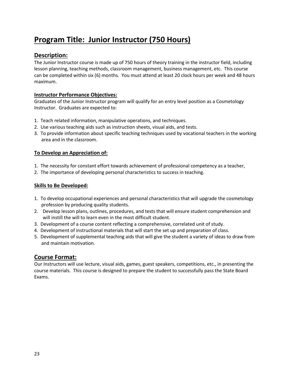# **Program Title: Junior Instructor (750 Hours)**

## **Description:**

The Junior Instructor course is made up of 750 hours of theory training in the instructor field, including lesson planning, teaching methods, classroom management, business management, etc. This course can be completed within six (6) months. You must attend at least 20 clock hours per week and 48 hours maximum.

### **Instructor Performance Objectives:**

Graduates of the Junior Instructor program will qualify for an entry level position as a Cosmetology Instructor. Graduates are expected to:

- 1. Teach related information, manipulative operations, and techniques.
- 2. Use various teaching aids such as instruction sheets, visual aids, and tests.
- 3. To provide information about specific teaching techniques used by vocational teachers in the working area and in the classroom.

### **To Develop an Appreciation of:**

- 1. The necessity for constant effort towards achievement of professional competency as a teacher,
- 2. The importance of developing personal characteristics to success in teaching.

### **Skills to Be Developed:**

- 1. To develop occupational experiences and personal characteristics that will upgrade the cosmetology profession by producing quality students.
- 2. Develop lesson plans, outlines, procedures, and tests that will ensure student comprehension and will instill the will to learn even in the most difficult student.
- 3. Development of a course content reflecting a comprehensive, correlated unit of study.
- 4. Development of instructional materials that will start the set up and preparation of class.
- 5. Development of supplemental teaching aids that will give the student a variety of ideas to draw from and maintain motivation.

## **Course Format:**

Our Instructors will use lecture, visual aids, games, guest speakers, competitions, etc., in presenting the course materials. This course is designed to prepare the student to successfully pass the State Board Exams.